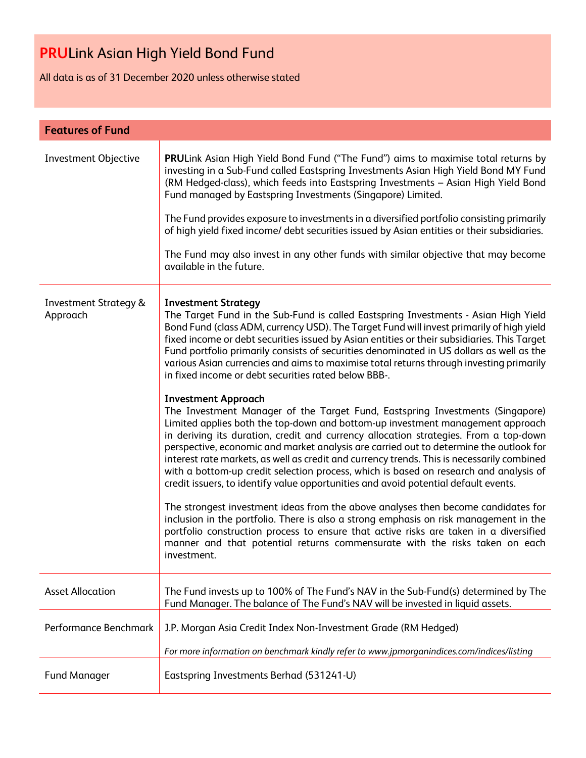All data is as of 31 December 2020 unless otherwise stated

| <b>Features of Fund</b>                      |                                                                                                                                                                                                                                                                                                                                                                                                                                                                                                                                                                                                                                                                                                                                                                                                                                                                                                                                                                                                                                                                                                                                                                                                                                                                                                                                                                                                                                                                                                                                                                                                   |
|----------------------------------------------|---------------------------------------------------------------------------------------------------------------------------------------------------------------------------------------------------------------------------------------------------------------------------------------------------------------------------------------------------------------------------------------------------------------------------------------------------------------------------------------------------------------------------------------------------------------------------------------------------------------------------------------------------------------------------------------------------------------------------------------------------------------------------------------------------------------------------------------------------------------------------------------------------------------------------------------------------------------------------------------------------------------------------------------------------------------------------------------------------------------------------------------------------------------------------------------------------------------------------------------------------------------------------------------------------------------------------------------------------------------------------------------------------------------------------------------------------------------------------------------------------------------------------------------------------------------------------------------------------|
| Investment Objective                         | PRULink Asian High Yield Bond Fund ("The Fund") aims to maximise total returns by<br>investing in a Sub-Fund called Eastspring Investments Asian High Yield Bond MY Fund<br>(RM Hedged-class), which feeds into Eastspring Investments - Asian High Yield Bond<br>Fund managed by Eastspring Investments (Singapore) Limited.<br>The Fund provides exposure to investments in a diversified portfolio consisting primarily<br>of high yield fixed income/ debt securities issued by Asian entities or their subsidiaries.<br>The Fund may also invest in any other funds with similar objective that may become<br>available in the future.                                                                                                                                                                                                                                                                                                                                                                                                                                                                                                                                                                                                                                                                                                                                                                                                                                                                                                                                                       |
| <b>Investment Strategy &amp;</b><br>Approach | <b>Investment Strategy</b><br>The Target Fund in the Sub-Fund is called Eastspring Investments - Asian High Yield<br>Bond Fund (class ADM, currency USD). The Target Fund will invest primarily of high yield<br>fixed income or debt securities issued by Asian entities or their subsidiaries. This Target<br>Fund portfolio primarily consists of securities denominated in US dollars as well as the<br>various Asian currencies and aims to maximise total returns through investing primarily<br>in fixed income or debt securities rated below BBB-.<br><b>Investment Approach</b><br>The Investment Manager of the Target Fund, Eastspring Investments (Singapore)<br>Limited applies both the top-down and bottom-up investment management approach<br>in deriving its duration, credit and currency allocation strategies. From a top-down<br>perspective, economic and market analysis are carried out to determine the outlook for<br>interest rate markets, as well as credit and currency trends. This is necessarily combined<br>with a bottom-up credit selection process, which is based on research and analysis of<br>credit issuers, to identify value opportunities and avoid potential default events.<br>The strongest investment ideas from the above analyses then become candidates for<br>inclusion in the portfolio. There is also a strong emphasis on risk management in the<br>portfolio construction process to ensure that active risks are taken in a diversified<br>manner and that potential returns commensurate with the risks taken on each<br>investment. |
| <b>Asset Allocation</b>                      | The Fund invests up to 100% of The Fund's NAV in the Sub-Fund(s) determined by The<br>Fund Manager. The balance of The Fund's NAV will be invested in liquid assets.                                                                                                                                                                                                                                                                                                                                                                                                                                                                                                                                                                                                                                                                                                                                                                                                                                                                                                                                                                                                                                                                                                                                                                                                                                                                                                                                                                                                                              |
| Performance Benchmark                        | J.P. Morgan Asia Credit Index Non-Investment Grade (RM Hedged)                                                                                                                                                                                                                                                                                                                                                                                                                                                                                                                                                                                                                                                                                                                                                                                                                                                                                                                                                                                                                                                                                                                                                                                                                                                                                                                                                                                                                                                                                                                                    |
|                                              | For more information on benchmark kindly refer to www.jpmorganindices.com/indices/listing                                                                                                                                                                                                                                                                                                                                                                                                                                                                                                                                                                                                                                                                                                                                                                                                                                                                                                                                                                                                                                                                                                                                                                                                                                                                                                                                                                                                                                                                                                         |
| <b>Fund Manager</b>                          | Eastspring Investments Berhad (531241-U)                                                                                                                                                                                                                                                                                                                                                                                                                                                                                                                                                                                                                                                                                                                                                                                                                                                                                                                                                                                                                                                                                                                                                                                                                                                                                                                                                                                                                                                                                                                                                          |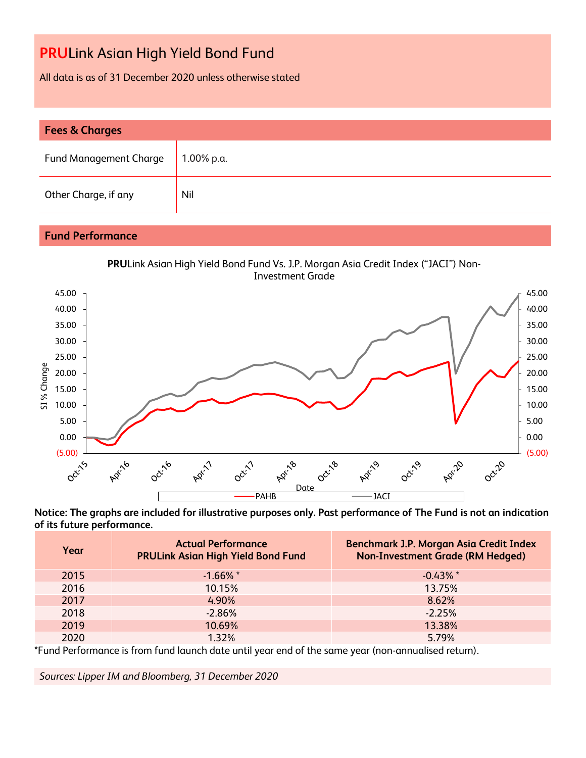All data is as of 31 December 2020 unless otherwise stated

| <b>Fees &amp; Charges</b>     |            |  |  |  |
|-------------------------------|------------|--|--|--|
| <b>Fund Management Charge</b> | 1.00% p.a. |  |  |  |
| Other Charge, if any          | Nil        |  |  |  |

### **Fund Performance**





**Notice: The graphs are included for illustrative purposes only. Past performance of The Fund is not an indication of its future performance.**

| Year | <b>Actual Performance</b><br><b>PRULink Asian High Yield Bond Fund</b> | Benchmark J.P. Morgan Asia Credit Index<br><b>Non-Investment Grade (RM Hedged)</b> |
|------|------------------------------------------------------------------------|------------------------------------------------------------------------------------|
| 2015 | $-1.66\%$ *                                                            | $-0.43\%$ *                                                                        |
| 2016 | 10.15%                                                                 | 13.75%                                                                             |
| 2017 | 4.90%                                                                  | 8.62%                                                                              |
| 2018 | $-2.86%$                                                               | $-2.25%$                                                                           |
| 2019 | 10.69%                                                                 | 13.38%                                                                             |
| 2020 | 1.32%                                                                  | 5.79%                                                                              |

\*Fund Performance is from fund launch date until year end of the same year (non-annualised return).

*Sources: Lipper IM and Bloomberg, 31 December 2020*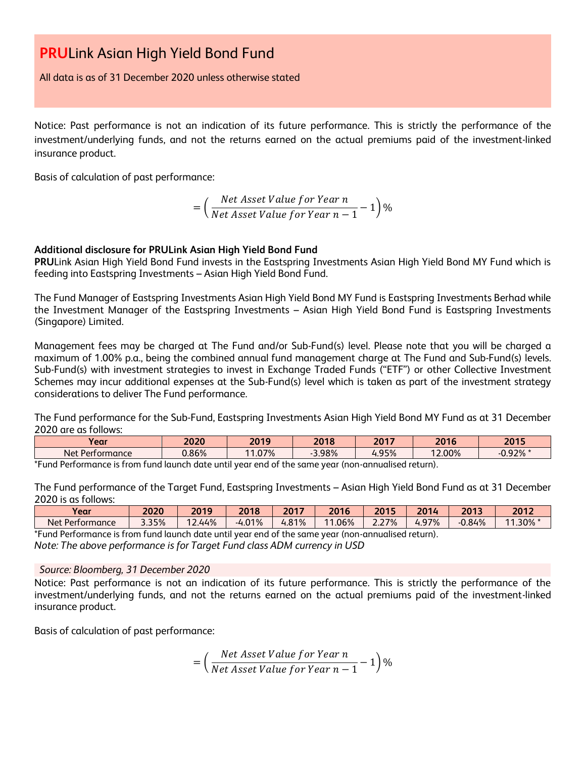All data is as of 31 December 2020 unless otherwise stated

Notice: Past performance is not an indication of its future performance. This is strictly the performance of the investment/underlying funds, and not the returns earned on the actual premiums paid of the investment-linked insurance product.

Basis of calculation of past performance:

$$
= \left(\frac{Net\text{ Asset Value for Year }n}{Net\text{ Asset Value for Year }n-1}-1\right)\%
$$

#### **Additional disclosure for PRULink Asian High Yield Bond Fund**

**PRU**Link Asian High Yield Bond Fund invests in the Eastspring Investments Asian High Yield Bond MY Fund which is feeding into Eastspring Investments – Asian High Yield Bond Fund.

The Fund Manager of Eastspring Investments Asian High Yield Bond MY Fund is Eastspring Investments Berhad while the Investment Manager of the Eastspring Investments – Asian High Yield Bond Fund is Eastspring Investments (Singapore) Limited.

Management fees may be charged at The Fund and/or Sub-Fund(s) level. Please note that you will be charged a maximum of 1.00% p.a., being the combined annual fund management charge at The Fund and Sub-Fund(s) levels. Sub-Fund(s) with investment strategies to invest in Exchange Traded Funds ("ETF") or other Collective Investment Schemes may incur additional expenses at the Sub-Fund(s) level which is taken as part of the investment strategy considerations to deliver The Fund performance.

The Fund performance for the Sub-Fund, Eastspring Investments Asian High Yield Bond MY Fund as at 31 December 2020 are as follows:

|                      | 2020     | 2019  | 2017<br>2018      | 16<br>zu | ' 13<br>ZV |
|----------------------|----------|-------|-------------------|----------|------------|
| : Performance<br>Net | $0.86\%$ | 1.07% | $4.95\%$<br>3.98% | 12.00%   | $-0.92\%$  |

\*Fund Performance is from fund launch date until year end of the same year (non-annualised return).

The Fund performance of the Target Fund, Eastspring Investments – Asian High Yield Bond Fund as at 31 December 2020 is as follows:

| Year                                                                                                                                | 2020  | 2019  | 2018                | 2017  | 2016       | 2015          | 2014 | 2013  | 2012                   |
|-------------------------------------------------------------------------------------------------------------------------------------|-------|-------|---------------------|-------|------------|---------------|------|-------|------------------------|
| Net Performance                                                                                                                     | 3.35% | 2.44% | 01%<br>$-4.0^\circ$ | 4.81% | .06%<br>11 | 2.27%<br>2.ZT | 97%  | 0.84% | .30%<br>$\overline{A}$ |
| *Fund<br>J launch date until year end of the same year $\prime$<br>l Pertormance is<br>* (non-annualised return).<br>. trom<br>tund |       |       |                     |       |            |               |      |       |                        |

*Note: The above performance is for Target Fund class ADM currency in USD*

#### *Source: Bloomberg, 31 December 2020*

Notice: Past performance is not an indication of its future performance. This is strictly the performance of the investment/underlying funds, and not the returns earned on the actual premiums paid of the investment-linked insurance product.

Basis of calculation of past performance:

$$
= \left(\frac{Net\text{ Asset Value for Year }n}{Net\text{ Asset Value for Year }n-1}-1\right)\%
$$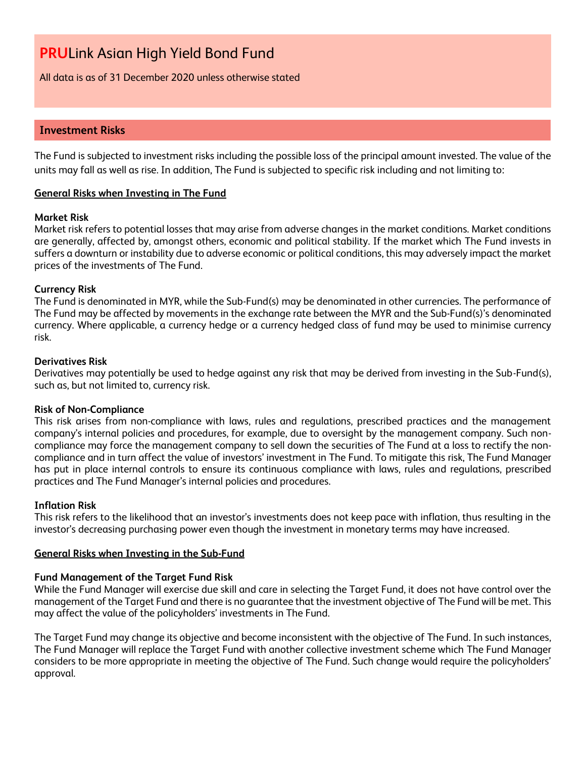All data is as of 31 December 2020 unless otherwise stated

#### **Investment Risks**

The Fund is subjected to investment risks including the possible loss of the principal amount invested. The value of the units may fall as well as rise. In addition, The Fund is subjected to specific risk including and not limiting to:

#### **General Risks when Investing in The Fund**

#### **Market Risk**

Market risk refers to potential losses that may arise from adverse changes in the market conditions. Market conditions are generally, affected by, amongst others, economic and political stability. If the market which The Fund invests in suffers a downturn or instability due to adverse economic or political conditions, this may adversely impact the market prices of the investments of The Fund.

#### **Currency Risk**

The Fund is denominated in MYR, while the Sub-Fund(s) may be denominated in other currencies. The performance of The Fund may be affected by movements in the exchange rate between the MYR and the Sub-Fund(s)'s denominated currency. Where applicable, a currency hedge or a currency hedged class of fund may be used to minimise currency risk.

#### **Derivatives Risk**

Derivatives may potentially be used to hedge against any risk that may be derived from investing in the Sub-Fund(s), such as, but not limited to, currency risk.

#### **Risk of Non-Compliance**

This risk arises from non-compliance with laws, rules and regulations, prescribed practices and the management company's internal policies and procedures, for example, due to oversight by the management company. Such noncompliance may force the management company to sell down the securities of The Fund at a loss to rectify the noncompliance and in turn affect the value of investors' investment in The Fund. To mitigate this risk, The Fund Manager has put in place internal controls to ensure its continuous compliance with laws, rules and regulations, prescribed practices and The Fund Manager's internal policies and procedures.

#### **Inflation Risk**

This risk refers to the likelihood that an investor's investments does not keep pace with inflation, thus resulting in the investor's decreasing purchasing power even though the investment in monetary terms may have increased.

#### **General Risks when Investing in the Sub-Fund**

#### **Fund Management of the Target Fund Risk**

While the Fund Manager will exercise due skill and care in selecting the Target Fund, it does not have control over the management of the Target Fund and there is no guarantee that the investment objective of The Fund will be met. This may affect the value of the policyholders' investments in The Fund.

The Target Fund may change its objective and become inconsistent with the objective of The Fund. In such instances, The Fund Manager will replace the Target Fund with another collective investment scheme which The Fund Manager considers to be more appropriate in meeting the objective of The Fund. Such change would require the policyholders' approval.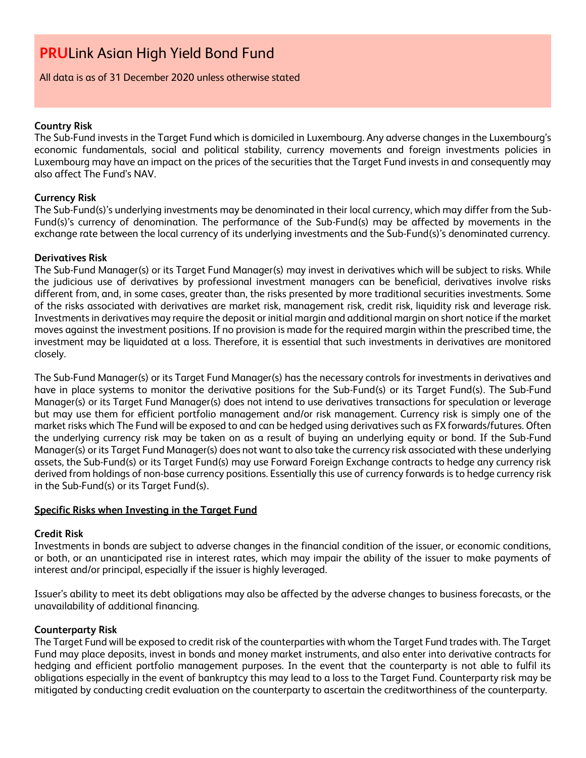#### All data is as of 31 December 2020 unless otherwise stated

#### **Country Risk**

The Sub-Fund invests in the Target Fund which is domiciled in Luxembourg. Any adverse changes in the Luxembourg's economic fundamentals, social and political stability, currency movements and foreign investments policies in Luxembourg may have an impact on the prices of the securities that the Target Fund invests in and consequently may also affect The Fund's NAV.

#### **Currency Risk**

The Sub-Fund(s)'s underlying investments may be denominated in their local currency, which may differ from the Sub-Fund(s)'s currency of denomination. The performance of the Sub-Fund(s) may be affected by movements in the exchange rate between the local currency of its underlying investments and the Sub-Fund(s)'s denominated currency.

#### **Derivatives Risk**

The Sub-Fund Manager(s) or its Target Fund Manager(s) may invest in derivatives which will be subject to risks. While the judicious use of derivatives by professional investment managers can be beneficial, derivatives involve risks different from, and, in some cases, greater than, the risks presented by more traditional securities investments. Some of the risks associated with derivatives are market risk, management risk, credit risk, liquidity risk and leverage risk. Investments in derivatives may require the deposit or initial margin and additional margin on short notice if the market moves against the investment positions. If no provision is made for the required margin within the prescribed time, the investment may be liquidated at a loss. Therefore, it is essential that such investments in derivatives are monitored closely.

The Sub-Fund Manager(s) or its Target Fund Manager(s) has the necessary controls for investments in derivatives and have in place systems to monitor the derivative positions for the Sub-Fund(s) or its Target Fund(s). The Sub-Fund Manager(s) or its Target Fund Manager(s) does not intend to use derivatives transactions for speculation or leverage but may use them for efficient portfolio management and/or risk management. Currency risk is simply one of the market risks which The Fund will be exposed to and can be hedged using derivatives such as FX forwards/futures. Often the underlying currency risk may be taken on as a result of buying an underlying equity or bond. If the Sub-Fund Manager(s) or its Target Fund Manager(s) does not want to also take the currency risk associated with these underlying assets, the Sub-Fund(s) or its Target Fund(s) may use Forward Foreign Exchange contracts to hedge any currency risk derived from holdings of non-base currency positions. Essentially this use of currency forwards is to hedge currency risk in the Sub-Fund(s) or its Target Fund(s).

#### **Specific Risks when Investing in the Target Fund**

#### **Credit Risk**

Investments in bonds are subject to adverse changes in the financial condition of the issuer, or economic conditions, or both, or an unanticipated rise in interest rates, which may impair the ability of the issuer to make payments of interest and/or principal, especially if the issuer is highly leveraged.

Issuer's ability to meet its debt obligations may also be affected by the adverse changes to business forecasts, or the unavailability of additional financing.

#### **Counterparty Risk**

The Target Fund will be exposed to credit risk of the counterparties with whom the Target Fund trades with. The Target Fund may place deposits, invest in bonds and money market instruments, and also enter into derivative contracts for hedging and efficient portfolio management purposes. In the event that the counterparty is not able to fulfil its obligations especially in the event of bankruptcy this may lead to a loss to the Target Fund. Counterparty risk may be mitigated by conducting credit evaluation on the counterparty to ascertain the creditworthiness of the counterparty.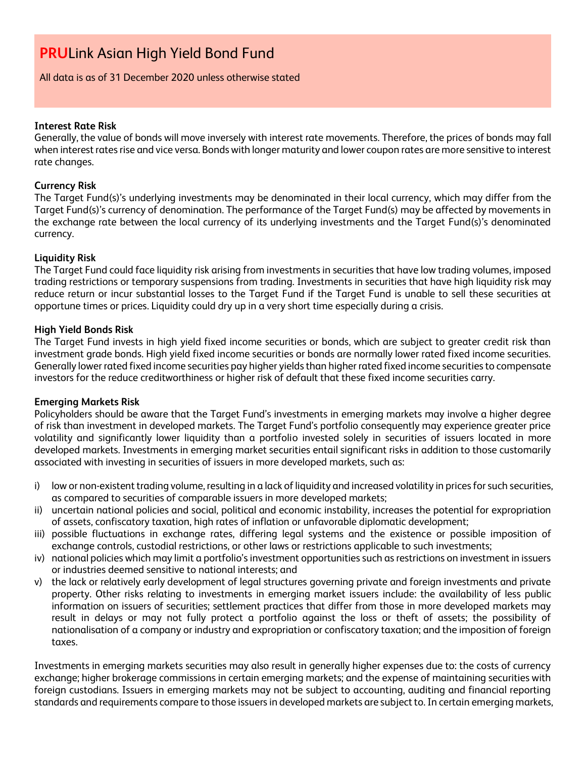#### All data is as of 31 December 2020 unless otherwise stated

#### **Interest Rate Risk**

Generally, the value of bonds will move inversely with interest rate movements. Therefore, the prices of bonds may fall when interest rates rise and vice versa. Bonds with longer maturity and lower coupon rates are more sensitive to interest rate changes.

#### **Currency Risk**

The Target Fund(s)'s underlying investments may be denominated in their local currency, which may differ from the Target Fund(s)'s currency of denomination. The performance of the Target Fund(s) may be affected by movements in the exchange rate between the local currency of its underlying investments and the Target Fund(s)'s denominated currency.

#### **Liquidity Risk**

The Target Fund could face liquidity risk arising from investments in securities that have low trading volumes, imposed trading restrictions or temporary suspensions from trading. Investments in securities that have high liquidity risk may reduce return or incur substantial losses to the Target Fund if the Target Fund is unable to sell these securities at opportune times or prices. Liquidity could dry up in a very short time especially during a crisis.

#### **High Yield Bonds Risk**

The Target Fund invests in high yield fixed income securities or bonds, which are subject to greater credit risk than investment grade bonds. High yield fixed income securities or bonds are normally lower rated fixed income securities. Generally lower rated fixed income securities pay higher yields than higher rated fixed income securities to compensate investors for the reduce creditworthiness or higher risk of default that these fixed income securities carry.

#### **Emerging Markets Risk**

Policyholders should be aware that the Target Fund's investments in emerging markets may involve a higher degree of risk than investment in developed markets. The Target Fund's portfolio consequently may experience greater price volatility and significantly lower liquidity than a portfolio invested solely in securities of issuers located in more developed markets. Investments in emerging market securities entail significant risks in addition to those customarily associated with investing in securities of issuers in more developed markets, such as:

- i) low or non-existent trading volume, resulting in a lack of liquidity and increased volatility in prices for such securities, as compared to securities of comparable issuers in more developed markets;
- ii) uncertain national policies and social, political and economic instability, increases the potential for expropriation of assets, confiscatory taxation, high rates of inflation or unfavorable diplomatic development;
- iii) possible fluctuations in exchange rates, differing legal systems and the existence or possible imposition of exchange controls, custodial restrictions, or other laws or restrictions applicable to such investments;
- iv) national policies which may limit a portfolio's investment opportunities such as restrictions on investment in issuers or industries deemed sensitive to national interests; and
- v) the lack or relatively early development of legal structures governing private and foreign investments and private property. Other risks relating to investments in emerging market issuers include: the availability of less public information on issuers of securities; settlement practices that differ from those in more developed markets may result in delays or may not fully protect a portfolio against the loss or theft of assets; the possibility of nationalisation of a company or industry and expropriation or confiscatory taxation; and the imposition of foreign taxes.

Investments in emerging markets securities may also result in generally higher expenses due to: the costs of currency exchange; higher brokerage commissions in certain emerging markets; and the expense of maintaining securities with foreign custodians. Issuers in emerging markets may not be subject to accounting, auditing and financial reporting standards and requirements compare to those issuers in developed markets are subject to. In certain emerging markets,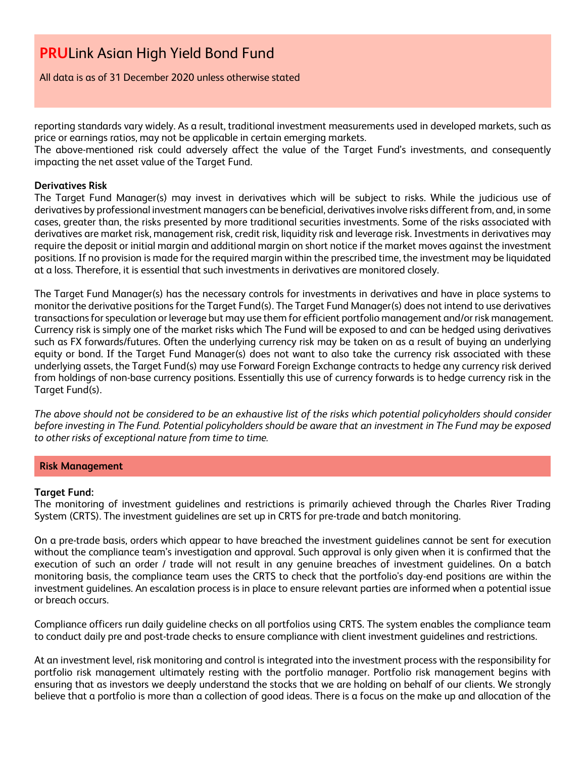All data is as of 31 December 2020 unless otherwise stated

reporting standards vary widely. As a result, traditional investment measurements used in developed markets, such as price or earnings ratios, may not be applicable in certain emerging markets.

The above-mentioned risk could adversely affect the value of the Target Fund's investments, and consequently impacting the net asset value of the Target Fund.

#### **Derivatives Risk**

The Target Fund Manager(s) may invest in derivatives which will be subject to risks. While the judicious use of derivatives by professional investment managers can be beneficial, derivatives involve risks different from, and, in some cases, greater than, the risks presented by more traditional securities investments. Some of the risks associated with derivatives are market risk, management risk, credit risk, liquidity risk and leverage risk. Investments in derivatives may require the deposit or initial margin and additional margin on short notice if the market moves against the investment positions. If no provision is made for the required margin within the prescribed time, the investment may be liquidated at a loss. Therefore, it is essential that such investments in derivatives are monitored closely.

The Target Fund Manager(s) has the necessary controls for investments in derivatives and have in place systems to monitor the derivative positions for the Target Fund(s). The Target Fund Manager(s) does not intend to use derivatives transactions for speculation or leverage but may use them for efficient portfolio management and/or risk management. Currency risk is simply one of the market risks which The Fund will be exposed to and can be hedged using derivatives such as FX forwards/futures. Often the underlying currency risk may be taken on as a result of buying an underlying equity or bond. If the Target Fund Manager(s) does not want to also take the currency risk associated with these underlying assets, the Target Fund(s) may use Forward Foreign Exchange contracts to hedge any currency risk derived from holdings of non-base currency positions. Essentially this use of currency forwards is to hedge currency risk in the Target Fund(s).

*The above should not be considered to be an exhaustive list of the risks which potential policyholders should consider before investing in The Fund. Potential policyholders should be aware that an investment in The Fund may be exposed to other risks of exceptional nature from time to time.*

#### **Risk Management**

#### **Target Fund:**

The monitoring of investment guidelines and restrictions is primarily achieved through the Charles River Trading System (CRTS). The investment guidelines are set up in CRTS for pre-trade and batch monitoring.

On a pre-trade basis, orders which appear to have breached the investment guidelines cannot be sent for execution without the compliance team's investigation and approval. Such approval is only given when it is confirmed that the execution of such an order / trade will not result in any genuine breaches of investment guidelines. On a batch monitoring basis, the compliance team uses the CRTS to check that the portfolio's day-end positions are within the investment guidelines. An escalation process is in place to ensure relevant parties are informed when a potential issue or breach occurs.

Compliance officers run daily guideline checks on all portfolios using CRTS. The system enables the compliance team to conduct daily pre and post-trade checks to ensure compliance with client investment guidelines and restrictions.

At an investment level, risk monitoring and control is integrated into the investment process with the responsibility for portfolio risk management ultimately resting with the portfolio manager. Portfolio risk management begins with ensuring that as investors we deeply understand the stocks that we are holding on behalf of our clients. We strongly believe that a portfolio is more than a collection of good ideas. There is a focus on the make up and allocation of the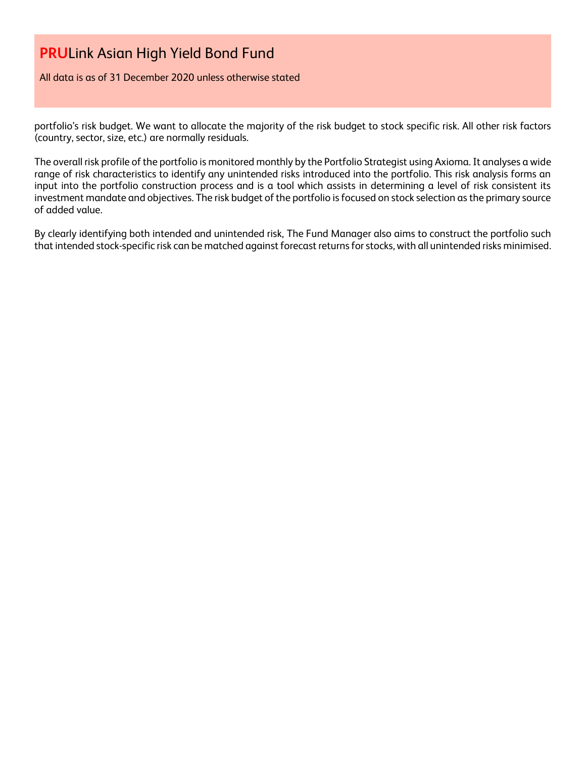All data is as of 31 December 2020 unless otherwise stated

portfolio's risk budget. We want to allocate the majority of the risk budget to stock specific risk. All other risk factors (country, sector, size, etc.) are normally residuals.

The overall risk profile of the portfolio is monitored monthly by the Portfolio Strategist using Axioma. It analyses a wide range of risk characteristics to identify any unintended risks introduced into the portfolio. This risk analysis forms an input into the portfolio construction process and is a tool which assists in determining a level of risk consistent its investment mandate and objectives. The risk budget of the portfolio is focused on stock selection as the primary source of added value.

By clearly identifying both intended and unintended risk, The Fund Manager also aims to construct the portfolio such that intended stock-specific risk can be matched against forecast returns for stocks, with all unintended risks minimised.